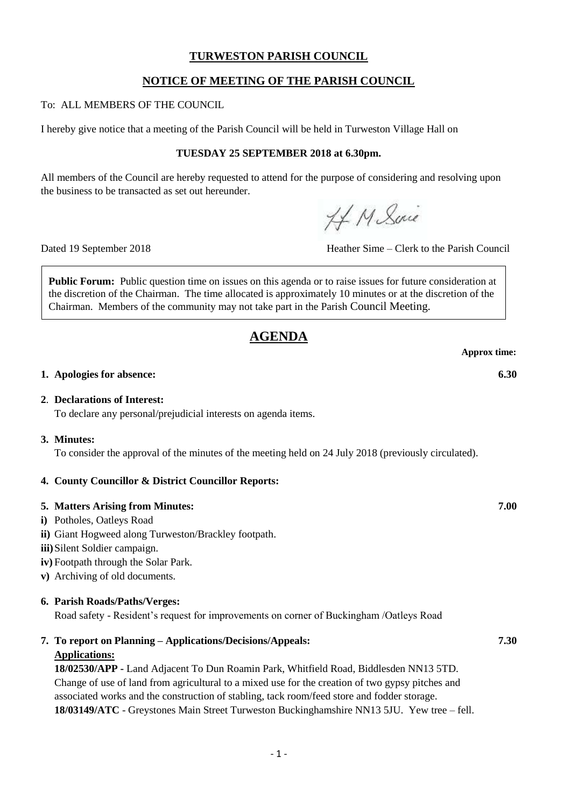### **TURWESTON PARISH COUNCIL**

# **NOTICE OF MEETING OF THE PARISH COUNCIL**

To: ALL MEMBERS OF THE COUNCIL

I hereby give notice that a meeting of the Parish Council will be held in Turweston Village Hall on

### **TUESDAY 25 SEPTEMBER 2018 at 6.30pm.**

All members of the Council are hereby requested to attend for the purpose of considering and resolving upon the business to be transacted as set out hereunder.

HM Suic

Dated 19 September 2018 Heather Sime – Clerk to the Parish Council

**Public Forum:** Public question time on issues on this agenda or to raise issues for future consideration at the discretion of the Chairman. The time allocated is approximately 10 minutes or at the discretion of the Chairman. Members of the community may not take part in the Parish Council Meeting.

# **AGENDA**

**Approx time:**

### **1. Apologies for absence: 6.30**

### **2**. **Declarations of Interest:**

To declare any personal/prejudicial interests on agenda items.

### **3. Minutes:**

To consider the approval of the minutes of the meeting held on 24 July 2018 (previously circulated).

### **4. County Councillor & District Councillor Reports:**

### **5. Matters Arising from Minutes: 7.00**

- **i)** Potholes, Oatleys Road
- **ii)** Giant Hogweed along Turweston/Brackley footpath.
- **iii)**Silent Soldier campaign.
- **iv)** Footpath through the Solar Park.
- **v)** Archiving of old documents.

### **6. Parish Roads/Paths/Verges:**

Road safety - Resident's request for improvements on corner of Buckingham /Oatleys Road

**7. To report on Planning – Applications/Decisions/Appeals: 7.30**

# **Applications:**

**18/02530/APP -** Land Adjacent To Dun Roamin Park, Whitfield Road, Biddlesden NN13 5TD. Change of use of land from agricultural to a mixed use for the creation of two gypsy pitches and associated works and the construction of stabling, tack room/feed store and fodder storage. **18/03149/ATC** - Greystones Main Street Turweston Buckinghamshire NN13 5JU. Yew tree – fell.